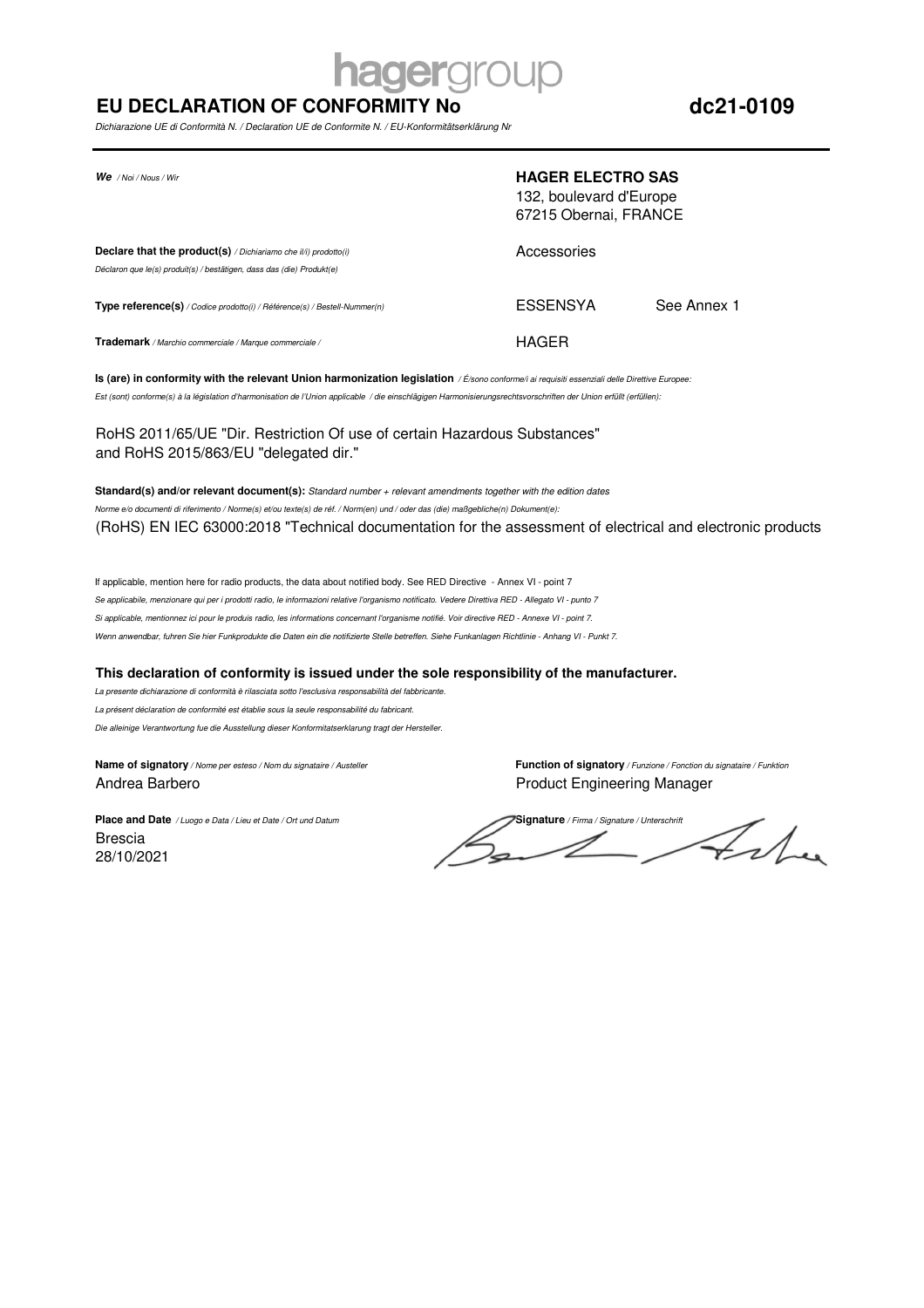# **aerarol**

## **EU DECLARATION OF CONFORMITY No**

Dichiarazione UE di Conformità N. / Declaration UE de Conformite N. / EU-Konformitätserklärung Nr

| $We$ / Noi / Nous / Wir                                                                                                                         | <b>HAGER ELECTRO SAS</b><br>132, boulevard d'Europe<br>67215 Obernai, FRANCE |             |
|-------------------------------------------------------------------------------------------------------------------------------------------------|------------------------------------------------------------------------------|-------------|
| <b>Declare that the product(s)</b> / Dichiariamo che il/i) prodotto(i)<br>Déclaron que le(s) produit(s) / bestätigen, dass das (die) Produkt(e) | Accessories                                                                  |             |
| <b>Type reference(s)</b> / Codice prodotto(i) / Référence(s) / Bestell-Nummer(n)                                                                | ESSENSYA                                                                     | See Annex 1 |
| Trademark / Marchio commerciale / Marque commerciale /                                                                                          | HAGER                                                                        |             |

**Is (are) in conformity with the relevant Union harmonization legislation** / É/sono conforme/i ai requisiti essenziali delle Direttive Europee: Est (sont) conforme(s) à la législation d'harmonisation de l'Union applicable / die einschlägigen Harmonisierungsrechtsvorschriften der Union erfüllt (erfüllen):

RoHS 2011/65/UE "Dir. Restriction Of use of certain Hazardous Substances" and RoHS 2015/863/EU "delegated dir."

**Standard(s) and/or relevant document(s):** Standard number + relevant amendments together with the edition dates Norme e/o documenti di riferimento / Norme(s) et/ou texte(s) de réf. / Norm(en) und / oder das (die) maßgebliche(n) Dokument(e): (RoHS) EN IEC 63000:2018 "Technical documentation for the assessment of electrical and electronic products

If applicable, mention here for radio products, the data about notified body. See RED Directive - Annex VI - point 7 Se applicabile, menzionare qui per i prodotti radio, le informazioni relative l'organismo notificato. Vedere Direttiva RED - Allegato VI - punto 7 Si applicable, mentionnez ici pour le produis radio, les informations concernant l'organisme notifié. Voir directive RED - Annexe VI - point 7. Wenn anwendbar, fuhren Sie hier Funkprodukte die Daten ein die notifizierte Stelle betreffen. Siehe Funkanlagen Richtlinie - Anhang VI - Punkt 7.

### **This declaration of conformity is issued under the sole responsibility of the manufacturer.**

La presente dichiarazione di conformità è rilasciata sotto l'esclusiva responsabilità del fabbricante. La présent déclaration de conformité est établie sous la seule responsabilité du fabricant.

Die alleinige Verantwortung fue die Ausstellung dieser Konformitatserklarung tragt der Hersteller.

Andrea Barbero Product Engineering Manager

**Name of signatory** / Nome per esteso / Nom du signataire / Austeller **Function of signatory** / Funzione / Fonction du signataire / Funktion

28/10/2021 Brescia

**Place and Date** / Luogo e Data / Lieu et Date / Ort und Datum **Signature** / **Signature** / Firma / Signature / Unterschrift Felme